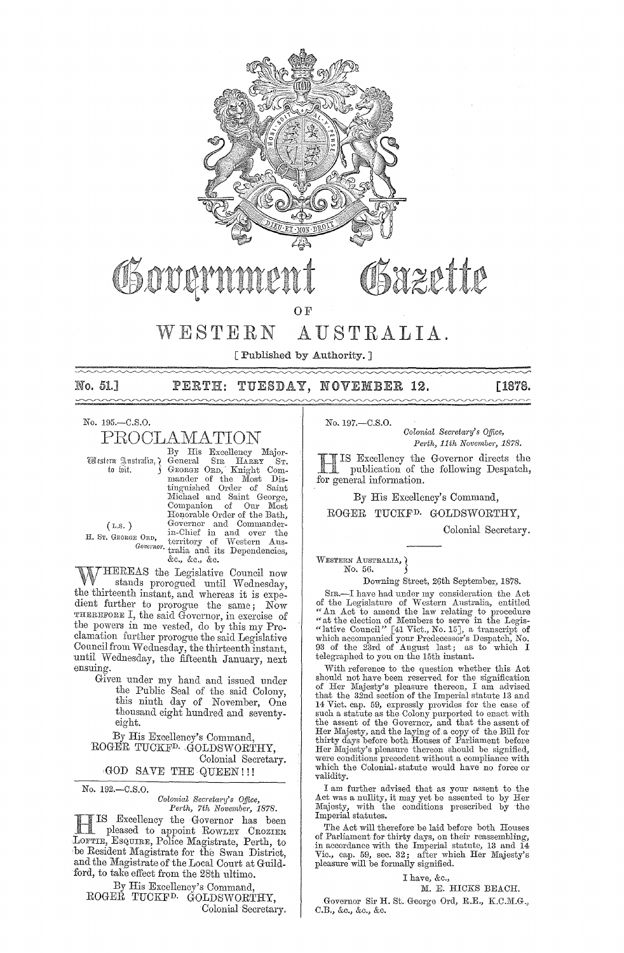

# Sazette

WESTERN AUSTRALIA.

O F

[Published by Authority.] 

No. 51.1

TUESDAY, NOVEMBER 12.  $\texttt{PERTH:}$ 

[1878.

No. 195.-C.S.O.

PROCLAMATION

Western Australia, ? to wit.

By His Excellency Major-By His Excellency Major-<br>George Str. Harax Sr.<br>George Orb, Knight Com-<br>mander of the Most Dis-<br>tinguished Order of Saint<br>Michael and Saint George,<br>Companion of Our Most Honorable Order of the Bath, However on the Bath,<br>Governor and Commander-<br>in-Chief in and over the<br>Governor territory of Western Aus-<br>Governor trains and its Dependencies, &c., &c., &c.

 $(L.s.)$ H. ST. GEORGE ORD.

HEREAS the Legislative Council now stands prorogued until Wednesday, the thirteenth instant, and whereas it is expedient further to prorogue the same; Now<br>THEREFORE I, the said Governor, in exercise of the powers in me vested, do by this my Proclamation further prorogue the said Legislative Council from Wednesday, the thirteenth instant,<br>until Wednesday, the fifteenth January, next ensuing.

Given under my hand and issued under<br>the Public Seal of the said Colony,<br>this ninth day of November, One thousand eight hundred and seventyeight.

By His Excellency's Command. ROGER TUCKF<sup>D.</sup> GOLDSWORTHY, Colonial Secretary.

GOD SAVE THE QUEEN!!!

No. 192.-C.S.O.

Colonial Secretary's Office, Perth, 7th November, 1878.

IS Excellency the Governor has been Deased to appoint ROWLEY CROZIER<br>LOFTIE, ESQUIRE, Police Magistrate, Perth, to be Resident Magistrate for the Swan District, and the Magistrate of the Local Court at Guildford, to take effect from the 28th ultimo.

By His Excellency's Command, ROGEŘ TUCKF<sup>D.</sup> GOLDSWORTHY,

Colonial Secretary.

No. 197 .- C.S.O.

Colonial Secretary's Office, Perth, 11th November, 1878.

IS Excellency the Governor directs the publication of the following Despatch, for general information.

By His Excellency's Command,

ROGER TUCKF<sup>D.</sup> GOLDSWORTHY,

Colonial Secretary.

WESTERN AUSTRALIA, ) No. 56.

Downing Street, 26th September, 1878.

SIR.—I have had under my consideration the Act<br>of the Legislature of Western Australia, entitled<br>"An Act to amend the law relating to procedure<br>"at the election of Members to serve in the Legis-<br>"lative Council" [41 Vict.,

With reference to the question whether this Act should not have been reserved for the signification of Her Majesty's pleasure thereon, I am advised that the 32nd section of the Imperial statute 13 and and the scale section of the inperial statute 15 and<br>14 Vict. cap. 59, expressly provides for the case of<br>such a statute as the Colony purported to enact with<br>the assent of the Governor, and that the assent of<br>Her Majesty, Her Majesty's pleasure thereon should be signified, were conditions precedent without a compliance with which the Colonial statute would have no force or validity.

I am further advised that as your assent to the Act was a nullity, it may yet be assented to by Her Majesty, with the conditions prescribed by the Majesty, with the Indiana.

The Act will therefore be laid before both Houses of Parliament for thirty days, on their reassembling, in accordance with the Imperial statute, 13 and 14<br>Vic., cap. 59, sec. 32; after which Her Majesty's pleasure will be formally signified.

 $\mathtt{I}$  have, &c.,

M. E. HICKS BEACH.

Governor Sir H. St. George Ord, R.E., K.C.M.G., C.B., &c., &c., &c.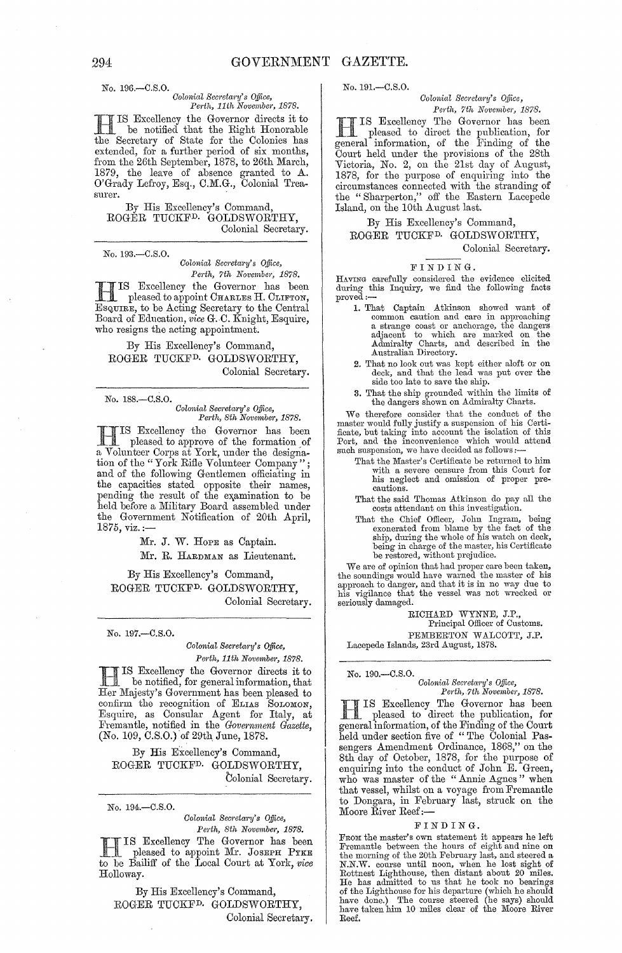No. 196.-C.S.O. *Colonial Secretary's Office,*<br>*Perth, 11th November, 1878. Perth, 11th November, 1878.* 

**H IS Excellency the Governor directs it to**<br>the Security of State for the Gelenics has be notified that the Right Honorable the Secretary of State for the Colonies has extended, for a further period of six months, from the 26th September, 1878, to 26th March, 1879, the leave of absence granted to A. O'Grady Lefroy, Esq., C.M.G., Colonial Trea-<br>surer.

By His Excellency's Command, ROGER TUCKFD. GOLDSWORTHY, Colonial Secretary.

No. 193.-C.S.O.

*Oolonial Sem'etary's Office,*  Perth, 7th November, 1878.

HIS Excellency the Governor has been pleased to appoint CHARLES H. CLIFTON, ESQ,UIRE, to be Acting Secretary to the Central Board of Education, *vice* G.C. Knight, Esquire, who resigns the acting appointment.

By His Excellency's Command, ROGER TUCKFD. GOLDSWORTHY, Colonial Secretary.

No. 188.-C.S.O. *Oolonial Secretary's Office, Pe1,th, 8th Novembe1', 1878.* 

H IS Excellency the Governor has been pleased to approve of the formation of a Volunteer Corps at York, under the designation of the "York Rifle Volunteer Company"; and of the following Gentlemen officiating in the capacities stated opposite their names, pending the result of the examination to be held before a Military Board assembled under the Government Notification of 20th April, 1875, viz.:-

Mr. **J.** W. HOPE as Captain.

Mr. R. HARDMAN as Lieutenant.

By His Excellency's Command, ROGER TUCKFD. GOLDSWORTHY, Colonial Secretary.

No. 197.-C.S.O.

*Colonial Secretary's Office, Perth, 11th November, 1878.* 

H IS Excellency the Governor directs it to be notified, for general information, that Her Majesty's Government has been pleased to confirm the recognition of ELIAS SOLOMON, Esquire, as Consular Agent for Italy, at Fremantle, notified in the *Government Gazette*, (No. *109,* C.S.O.) of 29th, June, 1878.

By His Excellency's Command, ROGER TUCKFD. GOLDSWORTHY, Colonial Secretary.

No. 194 - C.S.O.

*Oolonial Sem'eta1'Y's Office, Pedh, 8th November, 1878.* 

IS Excellency The Governor has been **FREE AS Excellency The Governor has been**<br>to be Bailiff of the Local Court at York, *vice* Holloway.

By His Excellency's Command, ROGER TUCKFD. GOLDSWORTHY, Colonial Secretary. No. 191.-C.S.O.

 $Colonial$  Secretary's Office, Perth, 7th November, 1878.

H IS Excellency The Governor has been pleased to direct the publication, for general information, of the Finding of the Court held under the provisions of the 28th Victoria, No. 2, on the 21st day of August, 1878, for the purpose of enquiring into the circumstances connected with the stranding of the "Sharperton," off the Eastern Lacepede Island, on the 10th August last.

By His Excellency's Command,

ROGER TUCKFD. GOLDSWORTHY, Colonial Secretary.

FINDING. Having carefully considered the evidence elicited during this Inquiry, we find the following facts proved:—

- 1. That Oaptain Atkinson showed want of common caution and care in approaching a strange coast or anchorage, the dangers adjacent to which are marked on the Admiralty Charts, and described in the Australian Directory.
- 2. That no look out was kept either aloft or on deck, and that the lead was put over the side too late to save the ship.
- 3. That the ship grounded within the limits of the dangers shown on Admiralty Charts.

We therefore consider that the conduct of the master would fully justify a suspension of his Certificate, but taking into account the isolation of this Port, and the inconvenience which would attend such suspension, we hav

- That the Master's Certificate be returned to him with a severe censure from this Oourt for his neglect and omission of proper precautions.
- That the said Thomas Atkinson do pay all the costs attendant on this investigation.
- That the Chief Officer, John Ingram, being exonerated from blame by the fact of the ship, during the whole of his watch on deck, being in charge of the master, his Certificate be restored, without prejudice.

We are of opinion that had proper care been taken, the soundings would have warned the master of his approach to danger, and that it is in no way due to his vigilance that the vessel was not wrecked or seriously damaged.

RICHARD WYNNE, J.P., Principal Officer of Customs. PEMBERTON WALCOTT, J.P. Lacepede Islands, 23rd August, 1878.

No. 190.—C.S.O.<br>Colonial Secretary's Office,

*Perth, 7th November, 1878.*  H IS Excellency The Governor has been pleased to direct the publication, for general information, of the Finding of the Court held under section five of "The Colonial Passengers Amendment Ordinance, 1868," on the 8th day of October, 1878, for the purpose of enquiring into the conduct of John E. Green, who was master of the "Annie Agnes" when that vessel, whilst on a voyage from Fremantle to Dongara, in February last, struck on the Moore River Reef:-

### FINDING.

FROM the master's own statement it appears he left Fremantle between the hours of eight and nine on the morning of the 20th February last, and steered a N.N.W. course until noon, when he lost sight of Rottnest Lighthouse, then distant about 20 miles.<br>He has admitted to us that he took no bearings of the Lighthouse for his departure (which he should of the Lighthouse for hi Reef.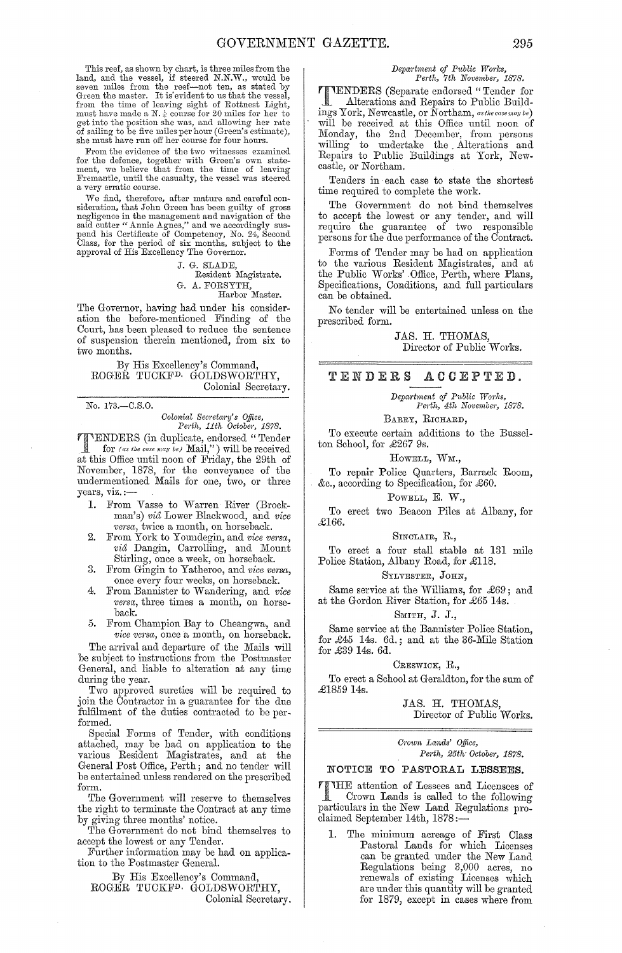This reef, as shown by chart, is three miles from the land, and the vessel, if steered N.N.W., would be seven miles from the reef—not ten, as stated by Green the master. It is evident to us that the vessel, from the time o must have made a N. $\frac{1}{4}$  course for 20 miles for her to get into the position she was, and allowing her rate of sailing to be five miles per hour (Green's estimate), she must have run off her course for four hours.

From the evidence of the two witnesses examined for the defence, together with Green's own state-ment, we believe that from the time of leaving Fremantle, until the casualty, the vessel was steered a very erratic course.

We find, therefore, after mature and careful con-sideration, that John Green has been guilty of gross negligence in the management and navigation of the said cutter" Annie Agnes," and we accordingly suspend his Certificate of Competency, No. 24, Second Class, for the period of six months, subject to the approval of His Excellency The Governor.

> J. G. SLADE, Resident Magistrate. G. A. FORSYTH, Harbor Master.

The Governor, having had under his consideration the before-mentioned Finding of the Court, has been pleased to reduce the sentence of suspension therein mentioned, from six to two months.

By His Excellency's Command, ROGEŘ TUCKF<sup>D.</sup> GOLDSWORTHY, Colonial Secretary.

No. 173.-C.S.0.

*Colonial Sec1'eta?'Y's Office, Pm'th, 11th October, 1878.* 

**TTENDERS** (in duplicate, endorsed "Tender<br>for (as the case may be) Mail.") will be received for *(as the case may be)* Mail,") will be received at this Office until noon of Friday, the 29th of November, 1878, for the conveyance of the undermentioned Mails for one, two, or three years, viz. :—

- 1. From Vasse to Warren River (Brockman's) *via* Lower Blackwood, and *vice versa*, twice a month, on horseback.
- 2. From York to Youndegin, and *vice versa*, via Dangin, Carrolling, and Mount Stirling, once a week, on horseback.
- 3. From Gingin to Yatheroo, and *vice versa,*  once every four weeks, on horseback.
- 4. From Bannister to Wandering, and *vice versu,* three times a month, on horseback.
- 5. From Champion Bay to Cheangwa, and *vice versa*, once a month, on horseback.

The arrival and departure of the Mails will be subject to instructions from the Postmaster General, and liable to alteration at any time during the year.

Two approved sureties will be required to join the Contractor in a guarantee for the due fulfilment of the duties contracted to be performed.

Special Forms of Tender, with conditions attached, may be had on application to the various Resident Magistrates, and at the General Post Office, Perth; and no tender will be entertained unless rendered on the prescribed form.

The Government will reserve to themselves the right to terminate the Contract at any time by giving three months' notice.

The Government do not bind themselves to accept the lowest or any Tender.

Further information may be had on application to the Postmaster General.

By His Excellency's Command,

ROGER TUCKFD, GOLDSWORTHY, Colonial Secretary.

### $Department of Public Works,$ *Perth, 7th November, 1878.*

TENDERS (Sepamte endorsed" Tender for Alterations and Repairs to Public Buildings York, Newcastle, or Northam, *as the case may be*) will be received at this Office until noon of Monday, the 2nd December, from persons willing to undertake the. Alterations and Repairs to Public Buildings at York, Newcastle, or Northam.

Tenders in· each case to state the shortest time required to complete the work.

The Government do not bind themselves to accept the lowest or any tender, and will require the guarantee of two responsible persons for the due performance of the Contract.

Forms of Tender may be had on application to the various Resident Magistrates, and at the Public Works' .Office, Perth, where Plans, Specifications, Conditions, and full particulars can be obtained.

No tender will be entertained unless on the prescribed form.

> JAS. H. THOMAS, Director of Public Works.

### TENDERS ACCEPTED.

*Department of Public Works, Perth, 4th November, 1878.* 

BARRY, RICHARD,

To execute certain additions to the Bussclton School, for £267 9s.

### HOWELL, WM.,

To repair Police Quarters, Barrack Room, &c., according to Specification, for £60.

### POWELL, E. W.,

To erect two Beacon Piles at Albany, for £166.

### SINCLAIR, R.,

To erect a four stall stable at 131 mile Police Station, Albany Road, for £118.

### SYLVESTER, JOHN,

Same service at the Williams, for £69; and at the Gordon River Station, for £65 14s.

### SMITH, J. J.,

Same service at the Bannister Police Station, for £45 14s. 6d.; and at the 36-Mile Station for £39 14s. 6d.

### CRESWICK, R.,

To erect a School at Geraldton, for the sum of £185914s.

> JAS. H. THOMAS, Director of Public Works.

 $Crown$  *Lands' Office*, *P81,th, 25tlv October, 1878.* 

### NOTICE TO PASTORAL LESSEES.

**FINHE** attention of Lessees and Licensees of<br>Crown Lands is called to the following Crown Lands is called to the following particulars in the New Land Regulations proclaimed September 14th, 1878:-

1. The minimum acreage of First Class Pastoral Lands for which Licenses can be granted under the New Land<br>Regulations being 3,000 acres, no renewals of existing Licenses which are under this quantity will be granted for 1879, except in cases where from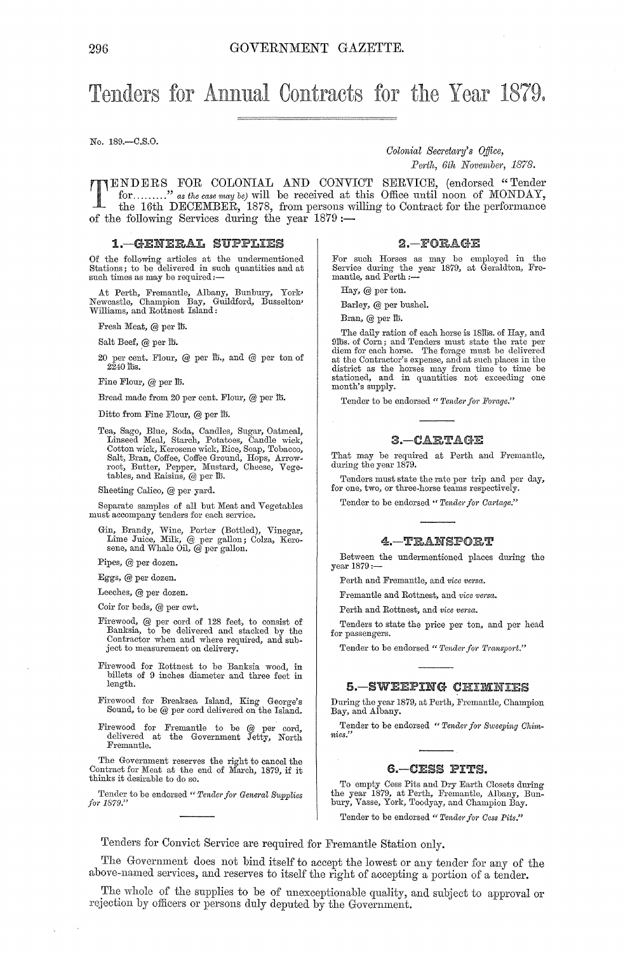## Tenders for Annual Contracts for the Year 1879.

No. 189.-C.S.O.

*Colonial Secretary's Office,* 

 $Perth, 6th$  November, 1878.

TENDERS FOR COLONIAL AND CONVICT SERVICE, (endorsed "Tender for ........." as the case may be) will be received at this Office until noon of MONDAY, the 16th DECEMBER, 1878, from persons willing to Contract for the perform for ......... " *as the case may be)* will be received at this Office until noon of MONDAY, the 16th DECEMBER, 1878, from persons willing' to Contract for the performance of the following Services during the year  $1879:$ 

### 1.-GENERAL SUPPLIES

Of the following articles at the undermentioned<br>Stations; to be delivered in such quantities and at<br>such times as may be required:—

At Perth, Fremantle, Albany, Bunbury, York, Newcastle, Champion Bay, Guildford, Busselton' Williams, and Rottnest Island:

Fresh Meat, @ per lb.

Salt Beef, @ per lb.

20 per cent. Flour, @ per lb., and @ per ton of  $2240$  lbs.

Fine Flour, @ per lb.

Bread made from 20 per cent. Flour, @ per lt.

Ditto from Fine Flour, @ per lb.

Tea, Sago, Blue, Soda, Candles, Sugar, Oatmeal, Linseed Meal, Starch, Potatoes, Candle wick, Cotton wick, Kerosene wick, Rice, Soap, Tobacco, Salt, Bran, Coffee, Coffee Ground, Hops, Arrow-root, Butter, Pepper, Mustard, Cheese, Vegetables, and Raisins, @ per tb.

Sheeting Calico, @ per yard.

Separate samples of all but Meat and Vegetables must accompany tenders for each service.

Gin, Brandy, Wine, Porter (Bottled), Vinegar, Lime Juice, Milk, @ per gallon; Colza, Kero-sene, and Whale Oil, @ per gallon.

Pipes, @ per dozen.

Eggs, @ per dozen.

Leeches, @ per dozen.

Coir for beds, @ per cwt.

- Firewood, @ per cord of 128 feet, to consist of Banksia, to be delivered and stacked by the Contractor when and where required, and subject to measurement on delivery.
- Firewood for Rottnest to be Banksia wood, in billets of 9 inches diameter and three feet in length.
- Firewood for Breaksea Island, King George's Sound, to be @ per cord delivered on the Island.
- Firewood for Fremantle to be @ per cord, delivered at the Government Jetty, North Fremantle.

The Government reserves the right to cancel the Contract for Meat at the end of March, 1879, if it thinks it desirable to do so.

Tender to be endorsed " *Tender for General Supplies* for 1879."

### $2 - FORAGE$

For such Horses as may be employed in the Service during the year 1879, at Geraldton, Fremantle, and Perth :-

Hay, @ per ton.

Barley, @ per bushel.

Bran,  $@$  per  $@$ .

The daily ration of each horse is 18lbs. of Hay, and<br>9lbs. of Corn; and Tenders must state the rate per<br>diem for each horse. The forage must be delivered<br>at the Contractor's expense, and at such places in the<br>district as t stationed, and in quantities not exceeding one month's supply.

Tender to be endorsed " Tender for Forage."

### 3.-CARTAGE

That may be required at Perth and Fremantle, during the year 1879.

Tenders must state the rate per trip and per day, for one, two, or three-horse teams respectively.

Tender to be endorsed " Tender for Cartage."

### 4.-TRANSPORT

Between the undermentioned places during the year 1879:-

Perth and Fremantle, and *vice versa.* 

Fremantle and Rottnest, and *vice versa.* 

Perth and Rottnest, and *vice versa.* 

Tenders to state the price per ton, and per hoad for passengers.

Tender to be endorsed " Tender for Transport."

### 5.-SWEEPING

During the year 1879, at Perth, Fremantle, Champion Bay, and Albany.

Tender to be endorsed " Tender for Sweeping Chim*nies."* 

### G.-CESS PITS.

To empty Cess Pits and Dry Earth Closets during the year 1879, at Perth, Fremantle, Albany, Bunbury, Vasse, York, Toodyay, and Champion Bay. Tender to be endorsed " Tender for Cess Pits."

Tenders for Convict Service are required for Fremantle Station only.

The Government does not bind itself to accept the lowest or any tender for any of the above-named services, and reserves to itself the right of accepting a portion of a tender.

The whole of the supplies to be of unexceptionable quality, and subject to approval or rejection by officers or persons duly deputed by the Government.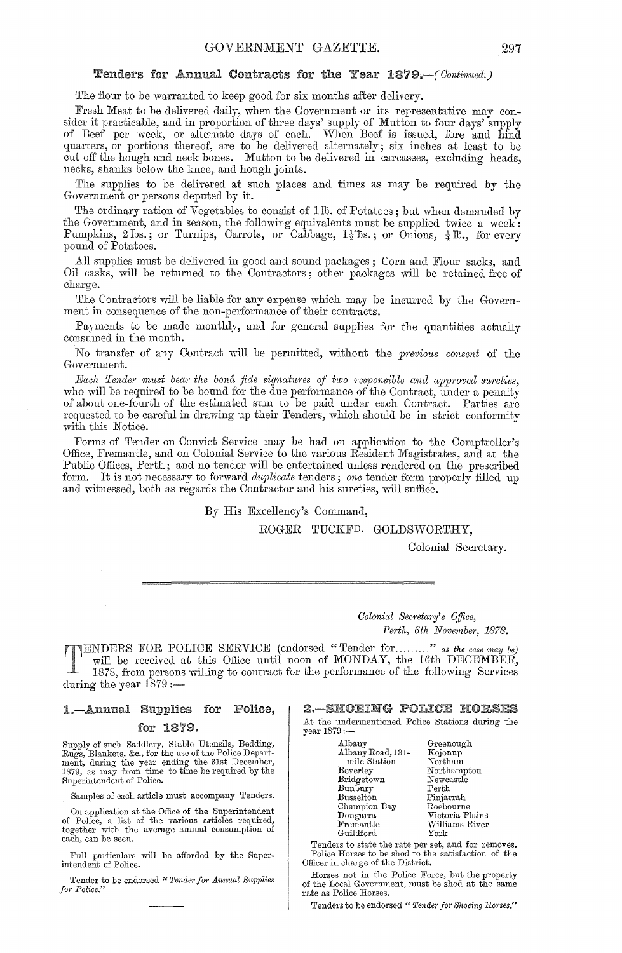### Tenders for Annual Contracts for the Year *1879.-(Oontimwl.}*

The flour to be warranted to keep good for six months after delivery.

Fresh Meat to be delivered daily, when the Government or its representative may consider it practicable, and in proportion of three days' supply of Mutton to four days' supply of Beef per week, or alternate days of each. When Beef is issued, fore and hind quarters, or portions thereof, are to be delivered alternately; six inches at least to be cut off the hough and neck bones. Mutton to be delivered in carcasses, excluding heads, necks, shanks below the knee, and hough joints.

The supplies to be delivered at such places and times as may be required by the Government or persons deputed by it.

The ordinary ration of Vegetables to consist of 115. of Potatoes; but when demanded by the Government, and in season, the following equivalents must be supplied twice a week: Pumpkins, 2 lbs.; or Turnips, Carrots, or Cabbage,  $1\frac{1}{2}$ lbs.; or Onions,  $\frac{1}{4}$ lb., for every pound of Potatoes.

All supplies must be delivered in good and sound packages; Corn and Flour sacks, and Oil casks, will be returned to the Contractors; other packages will be retained free of charge.

The Contractors will he liable for any expense which may be incurred by the Government in consequence of the non-performance of their contracts.

Payments to be made monthly, and for general supplies for the quantities actually consumed in the month.

No transfer of any Contract will be permitted, without the *previous consent* of the Government.

*Each Tender must bear the bona fide signatures of two responsible and approved sureties,* who will be required to be bound for the due performance of the Contract, under a penalty of about one-fourth of the estimated sum to be paid under each Contract. Parties are requested to be careful in drawing up their Tenders, which should be in strict conformity with this Notice.

Forms of Tender on Convict Service may be had on application to the Comptroller's Office, Fremantle, and on Colonial Service to the various Resident Magistrates, and at the Public Offices, Perth; and no tender will be entertained unless rendered on the prescribed form. It is not necessary to forward *duplicate* tenders; one tender form properly filled up and witnessed, hoth as regards the Contractor and his sureties, will suffice.

By His Excellency's Command,

ROGER TUCKFD. GOLDSWORTHY,

Colonial Secretary.

*Colonial Secretary's Office,* Perth, 6th November, 1878.

TENDERS FOR POLICE SERVICE (endorsed "Tender for ........." *as the case may be*) will be received at this Office until noon of MONDAY, the 16th DECEMBER, 1878, from persons willing to contract for the performance of the f will be received at this Office until noon of MONDAY, the 16th DECEMBER, 1878, from persons willing to contract for the performance of the following Services during the year  $1879:$ 

### 1.-Annual Supplies for Police,

### for 1879.

Supply of such Saddlery, Stable Utensils, Bedding,<br>Rugs, Blankets, &c., for the use of the Police Department, during the year ending the 31st December, 1879, as may from time to time be required by the Superintendent of Police.

Samples of each article must accompany Tenders.

On application at the Office of the Superintendent of Police, a list of the various articles required, together with the average annual consumption of each, can be seen.

Full particulars will be afforded by the Superintendent of Police.

Tender to be endorsed " Tender for Annual Supplies for Police.'

### 2.-SHOEING POLICE HORSES

At the undermentioned Police Stations during the year 1879:-

| Albany            | Greenough       |
|-------------------|-----------------|
| Albany Road, 131- | Kojonup         |
| mile Station      | Northam         |
| Beverley          | Northampton     |
| Bridgetown        | Newcastle       |
| Bunbury           | Perth           |
| Busselton         | Pinjarrah       |
| Champion Bay      | Roebourne       |
| Dongarra          | Victoria Plains |
| Fremantle         | Williams River  |
| Guildford         | York            |
|                   |                 |

Tenders to state the rate per set, and for removes. Police Horses to be shod to the satisfaction of the Officer in charge of the District.

Horses not in the Police Force, but the property of the Local Government, must be shod at the same rate as Police Horses.

Tenders to be endorsed " *Tender for Shoeing Hones."*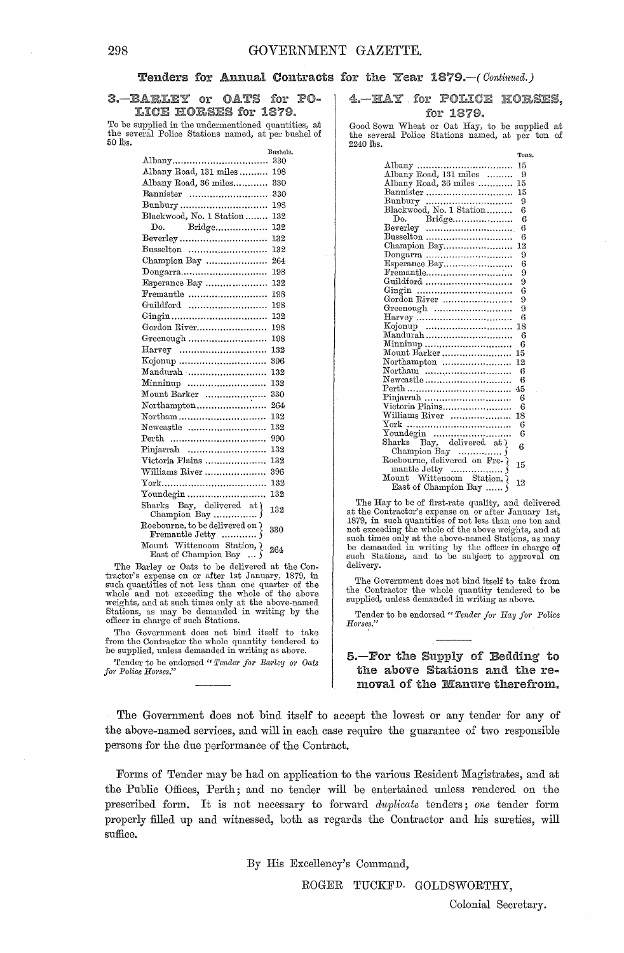### Tenders for Annual Contracts for the Year 1879.-( *Oontintwd.}*

### 3.-BARLEY or OATS for PO-LICE HORSES for 1879.

To be supplied in the undermentioned quantities, at the several Police Stations named, at per bushel of 50 lbs.

**Dnshels.** 

| Albany                                                | 330 |
|-------------------------------------------------------|-----|
| Albany Road, 131 miles                                | 198 |
| Albany Road, 36 miles                                 | 330 |
| Bannister                                             | 330 |
| Bunbury                                               | 198 |
| Blackwood, No. 1 Station                              | 132 |
| Do. Bridge                                            | 132 |
|                                                       | 132 |
| $Busselton$                                           | 132 |
| Champion Bay                                          | 264 |
| $\mathrm{Dongarra}$                                   | 198 |
| Esperance Bay                                         | 132 |
| $Fremantle$                                           | 198 |
| Guildford                                             | 198 |
|                                                       | 132 |
| Gordon River                                          | 198 |
| Greenough                                             | 198 |
| $\rm\,Haryey$                                         | 132 |
|                                                       | 396 |
| Mandurah                                              | 132 |
| Minninup                                              | 132 |
| Mount Barker                                          | 330 |
| Northampton                                           | 264 |
| Northam                                               | 132 |
| Newcastle                                             | 132 |
| Perth                                                 | 990 |
| Pinjarrah                                             | 132 |
| Victoria Plains                                       | 132 |
| Williams River                                        | 396 |
|                                                       | 132 |
|                                                       | 132 |
| Sharks Bay, delivered at )                            | 132 |
|                                                       | 330 |
| Mount Wittenoom Station, {<br>East of Champion Bay  } | 264 |

The Barley or Oats to be delivered at the Con-tractor's expense on or after 1st January, 1879, in such quantities of not less than one quarter of the whole and not exceeding the whole of the above weights, and at such times only at the above-named Stations, as may be demanded in writing by the officer in charge of such Stations.

The Government does not bind itself to take from the Contractor the whole quantity tendered to be supplied, unless demanded in writing as above.

Tender to be endorsed " Tender for Barley or Oats *for Police Hones."* 

### 4. HAY for POLICE HORSES. for 1879.

Good Sown Wheat or Oat Ray, to be supplied at the several Police Stations named, at per ton of  $2240$  tbs.

|                                                           | Tons. |
|-----------------------------------------------------------|-------|
| Albany<br>Albany Road, 131 miles<br>Albany Road, 36 miles | 15    |
|                                                           | 9     |
|                                                           | 15    |
| Bannister                                                 | 15    |
|                                                           | 9     |
| Bunbury<br>Blackwood, No. 1 Station                       | 6     |
| Do. Bridge                                                | 6     |
|                                                           | 6     |
| $Busselton$                                               | 6     |
| Champion Bay                                              | 12    |
| Dongarra<br>Esperance Bay                                 | 9     |
|                                                           | 6     |
| Fremantle                                                 | 9     |
| Guildford                                                 | 9     |
|                                                           | 6     |
| Gordon River                                              | 9     |
|                                                           | 9     |
|                                                           | 6     |
|                                                           | 18    |
| Mandurah                                                  | 6     |
| Minninup                                                  | 6     |
| Mount Barker                                              | 15    |
| Northampton                                               | 12    |
|                                                           | 6     |
| Newcastle                                                 | 6     |
|                                                           | 45    |
| Pinjarrah                                                 | 6     |
| Victoria Plains                                           | 6     |
| Williams River                                            | 18    |
|                                                           | 6     |
| Youndegin<br>Sharks Bay, delivered at {                   | 6     |
|                                                           | 6     |
|                                                           |       |
|                                                           | 15    |
| mantle Jetty                                              |       |
| Mount Wittenoom Station,                                  | 12    |
| East of Champion Bay                                      |       |

The Hay to be of first-rate quality, and delivered at the Contractor's expense on or after January 1st, 1879, in such quantities of not less than one ton and not exceeding the whole of the above weights, and at such times only at the above-named Stations, as may be demanded in writing by the officer in charge of such Stations, and to be subject to approval on delivery.

The Government does not bind itself to take from the Contractor the whole quantity tendered to be supplied, unless demanded in writing as above.

Tender to be endorsed " Tender for Hay for Police *HOl·ses."* 

### S.-For the Supply of Bedding to the above Stations and the removal of the Manure therefrom.

The Government does not bind itself to accept the lowest or any tender for any of the above-named services, and will in each case require the guarantee of two responsible persons for the due performance of the Contract.

Forms of Tender may be had on application to the various Resident Magistrates, and at the Public Offices, Perth; and no tender will be entertained unless rendered on the prescribed form. It is not necessary to forwal'd *duplicate* tenders; *one* tender form properly filled up and witnessed, both as regards the Contractor and his sureties, will suffice.

By His Excellency's Command,

ROGER TUCKFD. GOLDSWORTHY,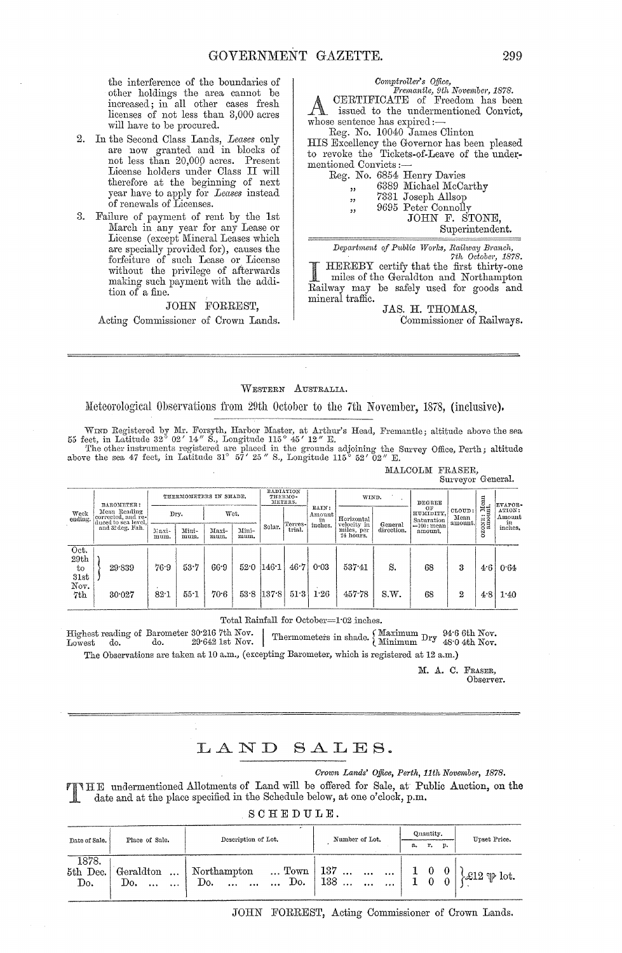the interference of the boundaries of other holdings the area cannot be increased; in all other cases fresh licenses of not less than 3,000 acres will have to be procured.

- 2. In the Second Class Lands, Leases only are now granted and in blocks of not less than 20,000 acres. Present License holders under Class II will therefore at the beginning of next year have to apply for Leases instead of renewals of Licenses.
- 3. Failure of payment of rent by the 1st March in any year for any Lease or License (except Mineral Leases which are specially provided for), causes the<br>forfeiture of such Lease or License without the privilege of afterwards making such payment with the addition of a fine.

### JOHN FORREST,

Acting Commissioner of Crown Lands.

 $\begin{array}{c} \textit{Computer's \; Office,} \\ \textit{Fremantle, 9th November, 1878.} \\ \textit{CERTIFICATE \; of \; Freedom \; has been} \end{array}$ issued to the undermentioned Convict, whose sentence has expired:-

Reg. No. 10040 James Clinton

HIS Excellency the Governor has been pleased to revoke the Tickets-of-Leave of the undermentioned Convicts : $-$ Res

|        | g. No. 6854 Henry Davies |
|--------|--------------------------|
| ,      | 6389 Michael McCarthy    |
| ,,     | 7331 Joseph Allsop       |
| , 2, 3 | 9695 Peter Connolly      |
|        | TOHN E STON              |

F. STONE,

Superintendent.

Department of Public Works, Railway Branch,

7th October, 1878. HEREBY certify that the first thirty-one miles of the Geraldton and Northampton Railway may be safely used for goods and mineral traffic.

JAS. H. THOMAS. Commissioner of Railways.

### WESTERN AUSTRALIA.

Meteorological Observations from 29th October to the 7th November, 1878, (inclusive).

WIND Registered by Mr. Forsyth, Harbor Master, at Arthur's Head, Fremantle; altitude above the sea 55 feet, in Latitude 32° 02' 14" S., Longitude 115° 45' 12" E.<br>The other instruments registered are placed in the grounds

|                    |                                                           |                        |               |               |                                 |       |                               |       |                                    |            |                           | parteler acuerant |                               |                           |                        |                  |
|--------------------|-----------------------------------------------------------|------------------------|---------------|---------------|---------------------------------|-------|-------------------------------|-------|------------------------------------|------------|---------------------------|-------------------|-------------------------------|---------------------------|------------------------|------------------|
| BAROMETER:         |                                                           | THERMOMETERS IN SHADE. |               |               | RADIATION<br>THERMO-<br>METERS. |       |                               | WIND. |                                    | DEGREE     |                           |                   | EVAPOR-                       |                           |                        |                  |
| Week<br>ending.    | Mean Reading<br>corrected, and re-<br>duced to sea level. |                        | Dry.          |               | Wet.                            |       | [Terres-]<br>Solar.<br>trial. |       | RAIN:<br>Amount  <br>in<br>inches. |            | Horizontal<br>velocity in | General           | ОF<br>HUMIDITY.<br>Saturation | CLOUD:<br>Mean<br>amount. | ozoxu: Mean<br>amount. | ATION:<br>Amount |
|                    | and 32 deg. Fah.                                          | Maxi-<br>mum.          | Mini-<br>mum. | Maxi-<br>mum. | Mini-<br>mum.                   |       |                               |       | miles, per<br>24 hours.            | direction. | $=100$ : mean<br>amount.  |                   |                               | in<br>inches.             |                        |                  |
| Oct.               |                                                           |                        |               |               |                                 |       |                               |       |                                    |            |                           |                   |                               |                           |                        |                  |
| 29th<br>to<br>31st | 29.839                                                    | 76.9                   | 53.7          | 66.9          | 52.0                            | 146.1 | 46.7                          | 0.03  | $537 - 41$                         | S.         | 68                        | 3                 | 4.6                           | 0.64                      |                        |                  |
| Nov.<br>7th        | 30.027                                                    | $82 - 1$               | 55.1          | 70.6          | 53.8                            | 137.8 | 51.3                          | 1.26  | 457.78                             | S.W.       | 68                        | $\boldsymbol{2}$  | 4.8                           | 1.40                      |                        |                  |

MALCOLM FRASER,<br>
Survayor General

Total Rainfall for October=1.02 inches.

Highest reading of Barometer 30.216 7th Nov. Thermometers in shade. (Maximum Dry 94.6 6th Nov. Lowest do. 29.642 1st Nov. Thermometers in shade. (Minimum Dry 48.0 4th Nov. The Observations are taken at 10 a.m., (excepting Barometer, which is registered at 12 a.m.)

M. A. C. FRASER,

Observer.

#### LAND SALES.

Crown Lands' Office, Perth, 11th November, 1878.

**TIME** undermentioned Allotments of Land will be offered for Sale, at Public Auction, on the date and at the place specified in the Schedule below, at one o'clock, p.m.

SCHEDULE.

| Date of Sale.            | Place of Sale.                                | Description of Lot.                                    | Number of Lot.                                                                |                                                | Quantity. |                             | Upset Price.                  |  |
|--------------------------|-----------------------------------------------|--------------------------------------------------------|-------------------------------------------------------------------------------|------------------------------------------------|-----------|-----------------------------|-------------------------------|--|
|                          |                                               |                                                        |                                                                               | а.                                             | r.        | p.                          |                               |  |
| 1878.<br>5th Dec.<br>Do. | Geraldton<br>$\cdots$<br>$\cdots$<br>$\cdots$ | Northampton<br>Do.<br>$\cdots$<br>$\cdots$<br>$\cdots$ | $\ldots$ Town   137 $\ldots$ $\ldots$ $\ldots$<br>138<br>$\cdots$<br>$\cdots$ | $\begin{array}{rr} 1 & 0 \\ 1 & 0 \end{array}$ |           | $\vert 0 \vert$<br>$\theta$ | $\frac{1}{2}$ 212 $\psi$ lot. |  |

JOHN FORREST, Acting Commissioner of Crown Lands.